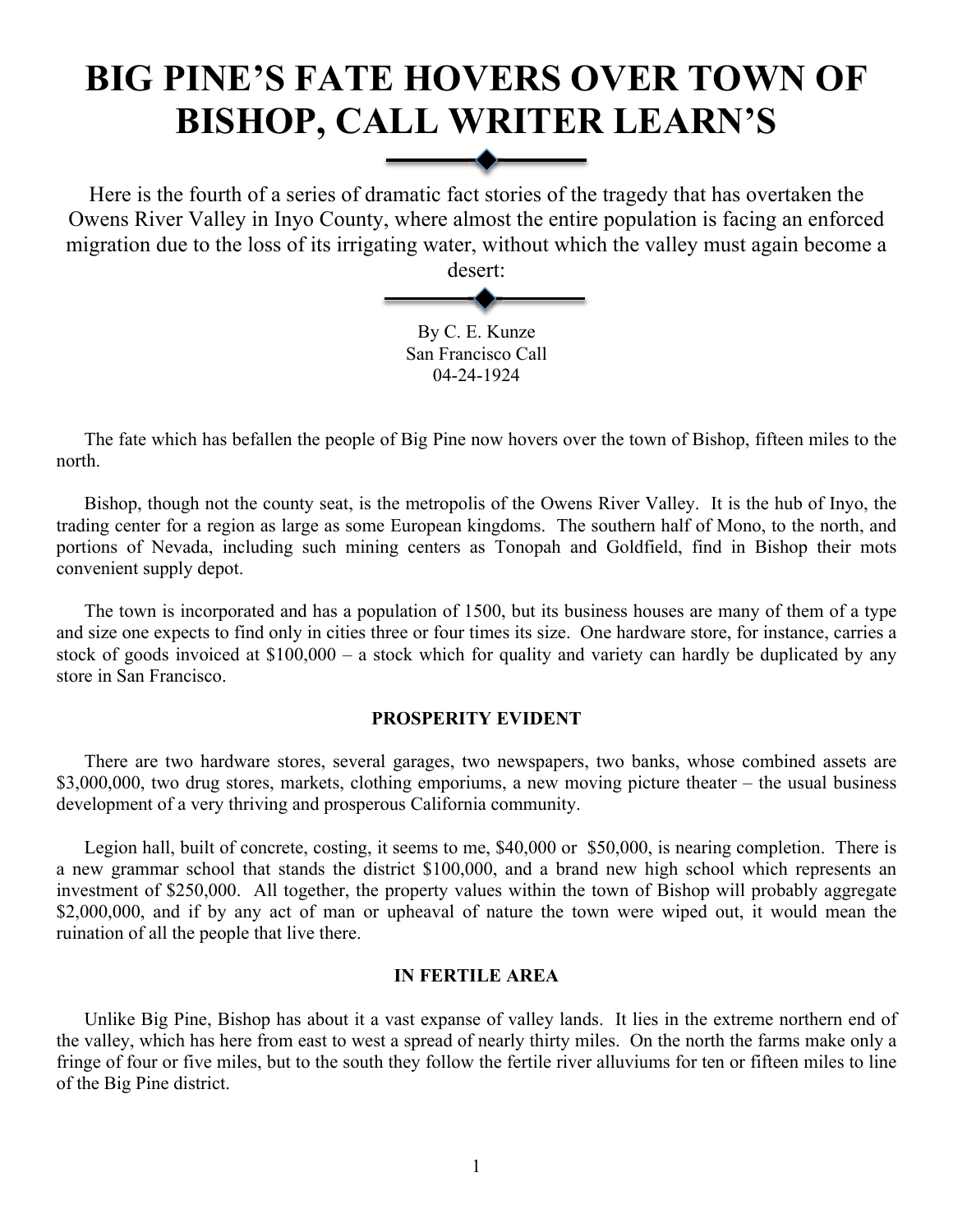# **BIG PINE'S FATE HOVERS OVER TOWN OF BISHOP, CALL WRITER LEARN'S**

Here is the fourth of a series of dramatic fact stories of the tragedy that has overtaken the Owens River Valley in Inyo County, where almost the entire population is facing an enforced migration due to the loss of its irrigating water, without which the valley must again become a desert:

> By C. E. Kunze San Francisco Call 04-24-1924

The fate which has befallen the people of Big Pine now hovers over the town of Bishop, fifteen miles to the north.

Bishop, though not the county seat, is the metropolis of the Owens River Valley. It is the hub of Inyo, the trading center for a region as large as some European kingdoms. The southern half of Mono, to the north, and portions of Nevada, including such mining centers as Tonopah and Goldfield, find in Bishop their mots convenient supply depot.

The town is incorporated and has a population of 1500, but its business houses are many of them of a type and size one expects to find only in cities three or four times its size. One hardware store, for instance, carries a stock of goods invoiced at \$100,000 – a stock which for quality and variety can hardly be duplicated by any store in San Francisco.

## **PROSPERITY EVIDENT**

There are two hardware stores, several garages, two newspapers, two banks, whose combined assets are \$3,000,000, two drug stores, markets, clothing emporiums, a new moving picture theater – the usual business development of a very thriving and prosperous California community.

Legion hall, built of concrete, costing, it seems to me, \$40,000 or \$50,000, is nearing completion. There is a new grammar school that stands the district \$100,000, and a brand new high school which represents an investment of \$250,000. All together, the property values within the town of Bishop will probably aggregate \$2,000,000, and if by any act of man or upheaval of nature the town were wiped out, it would mean the ruination of all the people that live there.

# **IN FERTILE AREA**

Unlike Big Pine, Bishop has about it a vast expanse of valley lands. It lies in the extreme northern end of the valley, which has here from east to west a spread of nearly thirty miles. On the north the farms make only a fringe of four or five miles, but to the south they follow the fertile river alluviums for ten or fifteen miles to line of the Big Pine district.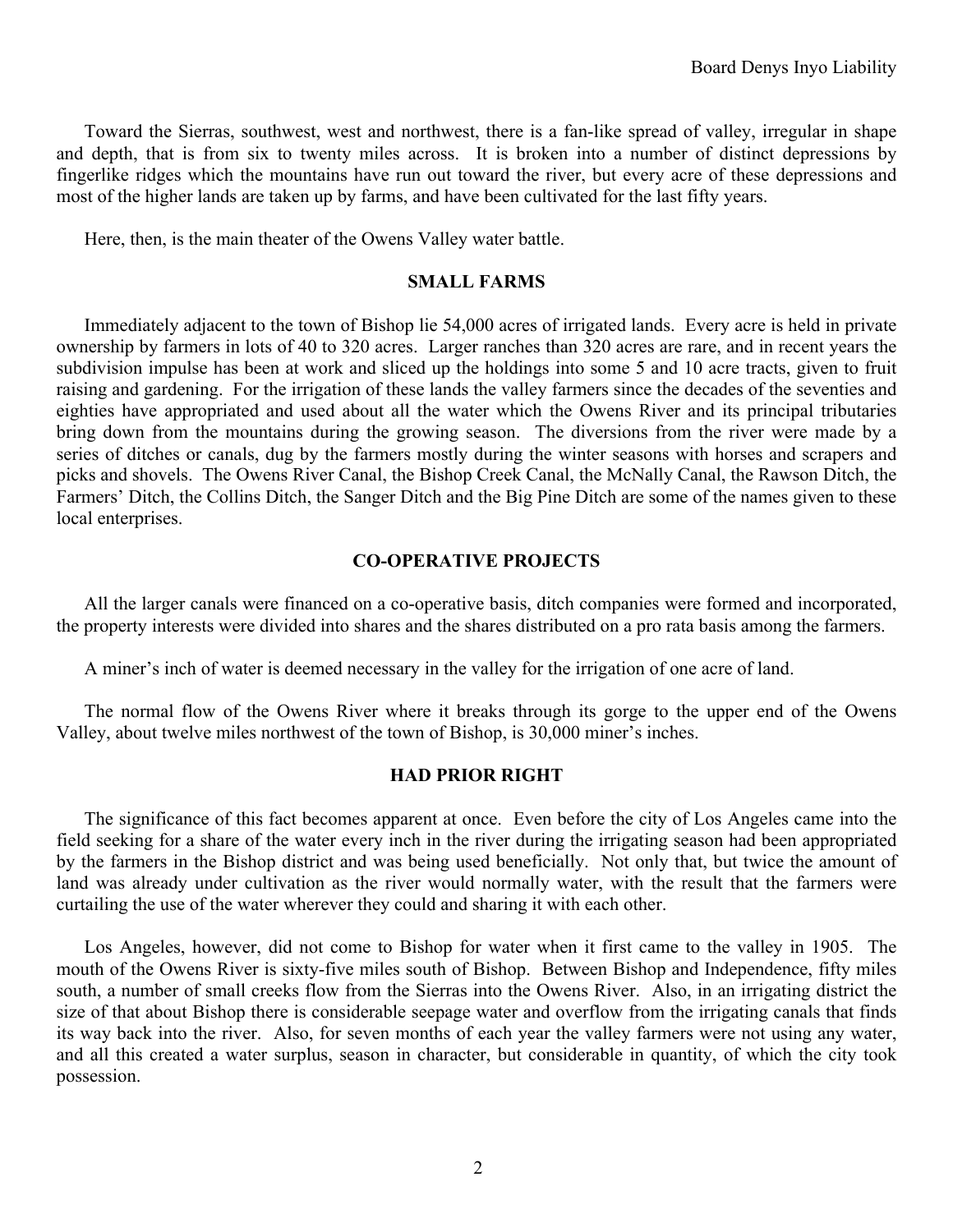Toward the Sierras, southwest, west and northwest, there is a fan-like spread of valley, irregular in shape and depth, that is from six to twenty miles across. It is broken into a number of distinct depressions by fingerlike ridges which the mountains have run out toward the river, but every acre of these depressions and most of the higher lands are taken up by farms, and have been cultivated for the last fifty years.

Here, then, is the main theater of the Owens Valley water battle.

## **SMALL FARMS**

Immediately adjacent to the town of Bishop lie 54,000 acres of irrigated lands. Every acre is held in private ownership by farmers in lots of 40 to 320 acres. Larger ranches than 320 acres are rare, and in recent years the subdivision impulse has been at work and sliced up the holdings into some 5 and 10 acre tracts, given to fruit raising and gardening. For the irrigation of these lands the valley farmers since the decades of the seventies and eighties have appropriated and used about all the water which the Owens River and its principal tributaries bring down from the mountains during the growing season. The diversions from the river were made by a series of ditches or canals, dug by the farmers mostly during the winter seasons with horses and scrapers and picks and shovels. The Owens River Canal, the Bishop Creek Canal, the McNally Canal, the Rawson Ditch, the Farmers' Ditch, the Collins Ditch, the Sanger Ditch and the Big Pine Ditch are some of the names given to these local enterprises.

## **CO-OPERATIVE PROJECTS**

All the larger canals were financed on a co-operative basis, ditch companies were formed and incorporated, the property interests were divided into shares and the shares distributed on a pro rata basis among the farmers.

A miner's inch of water is deemed necessary in the valley for the irrigation of one acre of land.

The normal flow of the Owens River where it breaks through its gorge to the upper end of the Owens Valley, about twelve miles northwest of the town of Bishop, is 30,000 miner's inches.

## **HAD PRIOR RIGHT**

The significance of this fact becomes apparent at once. Even before the city of Los Angeles came into the field seeking for a share of the water every inch in the river during the irrigating season had been appropriated by the farmers in the Bishop district and was being used beneficially. Not only that, but twice the amount of land was already under cultivation as the river would normally water, with the result that the farmers were curtailing the use of the water wherever they could and sharing it with each other.

Los Angeles, however, did not come to Bishop for water when it first came to the valley in 1905. The mouth of the Owens River is sixty-five miles south of Bishop. Between Bishop and Independence, fifty miles south, a number of small creeks flow from the Sierras into the Owens River. Also, in an irrigating district the size of that about Bishop there is considerable seepage water and overflow from the irrigating canals that finds its way back into the river. Also, for seven months of each year the valley farmers were not using any water, and all this created a water surplus, season in character, but considerable in quantity, of which the city took possession.